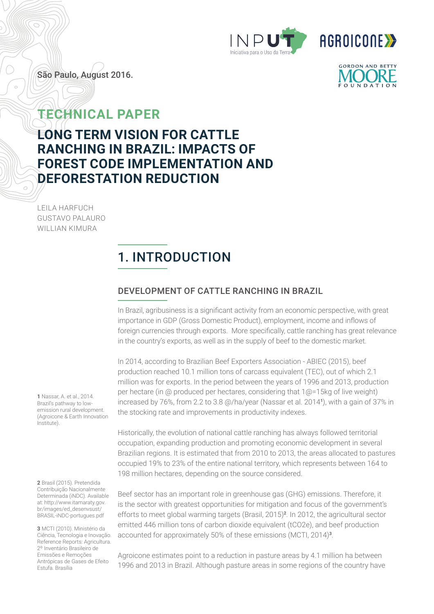



São Paulo, August 2016.

## **TECHNICAL PAPER**

## **LONG TERM VISION FOR CATTLE RANCHING IN BRAZIL: IMPACTS OF FOREST CODE IMPLEMENTATION AND DEFORESTATION REDUCTION**

LEILA HARFUCH GUSTAVO PALAURO WILLIAN KIMURA

## 1. INTRODUCTION

#### DEVELOPMENT OF CATTLE RANCHING IN BRAZIL

In Brazil, agribusiness is a significant activity from an economic perspective, with great importance in GDP (Gross Domestic Product), employment, income and inflows of foreign currencies through exports. More specifically, cattle ranching has great relevance in the country's exports, as well as in the supply of beef to the domestic market.

In 2014, according to Brazilian Beef Exporters Association - ABIEC (2015), beef production reached 10.1 million tons of carcass equivalent (TEC), out of which 2.1 million was for exports. In the period between the years of 1996 and 2013, production per hectare (in @ produced per hectares, considering that 1@=15kg of live weight) increased by 76%, from 2.2 to 3.8 @/ha/year (Nassar et al. 2014**<sup>1</sup>**), with a gain of 37% in the stocking rate and improvements in productivity indexes.

Historically, the evolution of national cattle ranching has always followed territorial occupation, expanding production and promoting economic development in several Brazilian regions. It is estimated that from 2010 to 2013, the areas allocated to pastures occupied 19% to 23% of the entire national territory, which represents between 164 to 198 million hectares, depending on the source considered.

Beef sector has an important role in greenhouse gas (GHG) emissions. Therefore, it is the sector with greatest opportunities for mitigation and focus of the government's efforts to meet global warming targets (Brasil, 2015)**<sup>2</sup>**. In 2012, the agricultural sector emitted 446 million tons of carbon dioxide equivalent (tCO2e), and beef production accounted for approximately 50% of these emissions (MCTI, 2014)**<sup>3</sup>**.

Agroicone estimates point to a reduction in pasture areas by 4.1 million ha between 1996 and 2013 in Brazil. Although pasture areas in some regions of the country have

**1** Nassar, A. et al., 2014. Brazil's pathway to lowemission rural development. (Agroicone & Earth Innovation Institute).

**2** Brasil (2015). Pretendida Contribuição Nacionalmente Determinada (iNDC). Available at: http://www.itamaraty.gov. br/images/ed\_desenvsust/ BRASIL-iNDC-portugues.pdf

**3** MCTI (2010). Ministério da Ciência, Tecnologia e Inovação. Reference Reports: Agricultura. 2º Inventário Brasileiro de Emissões e Remoções Antrópicas de Gases de Efeito Estufa. Brasília

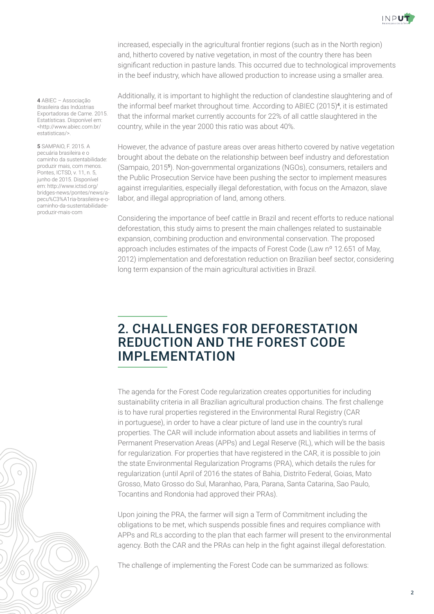

increased, especially in the agricultural frontier regions (such as in the North region) and, hitherto covered by native vegetation, in most of the country there has been significant reduction in pasture lands. This occurred due to technological improvements in the beef industry, which have allowed production to increase using a smaller area.

Additionally, it is important to highlight the reduction of clandestine slaughtering and of the informal beef market throughout time. According to ABIEC (2015)**<sup>4</sup>**, it is estimated that the informal market currently accounts for 22% of all cattle slaughtered in the country, while in the year 2000 this ratio was about 40%.

However, the advance of pasture areas over areas hitherto covered by native vegetation brought about the debate on the relationship between beef industry and deforestation (Sampaio, 2015**<sup>5</sup>**). Non-governmental organizations (NGOs), consumers, retailers and the Public Prosecution Service have been pushing the sector to implement measures against irregularities, especially illegal deforestation, with focus on the Amazon, slave labor, and illegal appropriation of land, among others.

Considering the importance of beef cattle in Brazil and recent efforts to reduce national deforestation, this study aims to present the main challenges related to sustainable expansion, combining production and environmental conservation. The proposed approach includes estimates of the impacts of Forest Code (Law nº 12.651 of May, 2012) implementation and deforestation reduction on Brazilian beef sector, considering long term expansion of the main agricultural activities in Brazil.

### 2. CHALLENGES FOR DEFORESTATION REDUCTION AND THE FOREST CODE IMPLEMENTATION

The agenda for the Forest Code regularization creates opportunities for including sustainability criteria in all Brazilian agricultural production chains. The first challenge is to have rural properties registered in the Environmental Rural Registry (CAR in portuguese), in order to have a clear picture of land use in the country's rural properties. The CAR will include information about assets and liabilities in terms of Permanent Preservation Areas (APPs) and Legal Reserve (RL), which will be the basis for regularization. For properties that have registered in the CAR, it is possible to join the state Environmental Regularization Programs (PRA), which details the rules for regularization (until April of 2016 the states of Bahia, Distrito Federal, Goias, Mato Grosso, Mato Grosso do Sul, Maranhao, Para, Parana, Santa Catarina, Sao Paulo, Tocantins and Rondonia had approved their PRAs).

Upon joining the PRA, the farmer will sign a Term of Commitment including the obligations to be met, which suspends possible fines and requires compliance with APPs and RLs according to the plan that each farmer will present to the environmental agency. Both the CAR and the PRAs can help in the fight against illegal deforestation.

The challenge of implementing the Forest Code can be summarized as follows:

**4** ABIEC – Associação Brasileira das Indústrias Exportadoras de Carne. 2015. Estatísticas. Disponível em: <http://www.abiec.com.br/ estatisticas/>.

**5** SAMPAIO, F. 2015. A pecuária brasileira e o caminho da sustentabilidade: produzir mais, com menos. Pontes, ICTSD, v. 11, n. 5, junho de 2015. Disponível em: http://www.ictsd.org/ bridges-news/pontes/news/apecu%C3%A1ria-brasileira-e-ocaminho-da-sustentabilidadeproduzir-mais-com

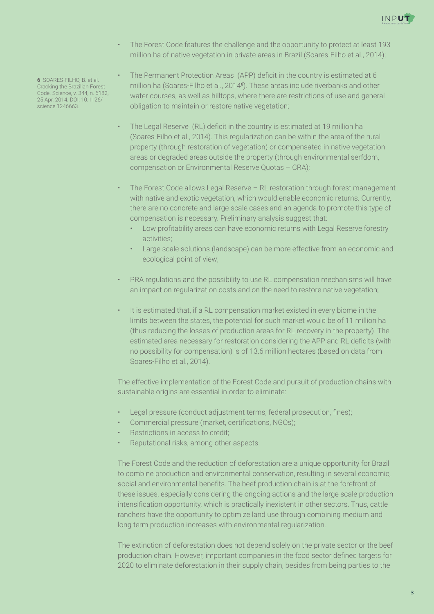

- The Forest Code features the challenge and the opportunity to protect at least 193 million ha of native vegetation in private areas in Brazil (Soares-Filho et al., 2014);
- The Permanent Protection Areas (APP) deficit in the country is estimated at 6 million ha (Soares-Filho et al., 2014**<sup>6</sup>**). These areas include riverbanks and other water courses, as well as hilltops, where there are restrictions of use and general obligation to maintain or restore native vegetation;
	- The Legal Reserve (RL) deficit in the country is estimated at 19 million ha (Soares-Filho et al., 2014). This regularization can be within the area of the rural property (through restoration of vegetation) or compensated in native vegetation areas or degraded areas outside the property (through environmental serfdom, compensation or Environmental Reserve Quotas – CRA);
	- The Forest Code allows Legal Reserve RL restoration through forest management with native and exotic vegetation, which would enable economic returns. Currently, there are no concrete and large scale cases and an agenda to promote this type of compensation is necessary. Preliminary analysis suggest that:
		- Low profi tability areas can have economic returns with Legal Reserve forestry activities;
		- Large scale solutions (landscape) can be more effective from an economic and ecological point of view;
	- PRA regulations and the possibility to use RL compensation mechanisms will have an impact on regularization costs and on the need to restore native vegetation;
	- It is estimated that, if a RL compensation market existed in every biome in the limits between the states, the potential for such market would be of 11 million ha (thus reducing the losses of production areas for RL recovery in the property). The estimated area necessary for restoration considering the APP and RL deficits (with no possibility for compensation) is of 13.6 million hectares (based on data from Soares-Filho et al., 2014).

The effective implementation of the Forest Code and pursuit of production chains with sustainable origins are essential in order to eliminate:

- Legal pressure (conduct adjustment terms, federal prosecution, fines);
- Commercial pressure (market, certifications, NGOs);
- Restrictions in access to credit;
- Reputational risks, among other aspects.

The Forest Code and the reduction of deforestation are a unique opportunity for Brazil to combine production and environmental conservation, resulting in several economic, social and environmental benefits. The beef production chain is at the forefront of these issues, especially considering the ongoing actions and the large scale production intensification opportunity, which is practically inexistent in other sectors. Thus, cattle ranchers have the opportunity to optimize land use through combining medium and long term production increases with environmental regularization.

The extinction of deforestation does not depend solely on the private sector or the beef production chain. However, important companies in the food sector defined targets for 2020 to eliminate deforestation in their supply chain, besides from being parties to the

**6** SOARES-FILHO, B. et al. Cracking the Brazilian Forest Code. Science, v. 344, n. 6182, 25 Apr. 2014. DOI: 10.1126/ science.1246663.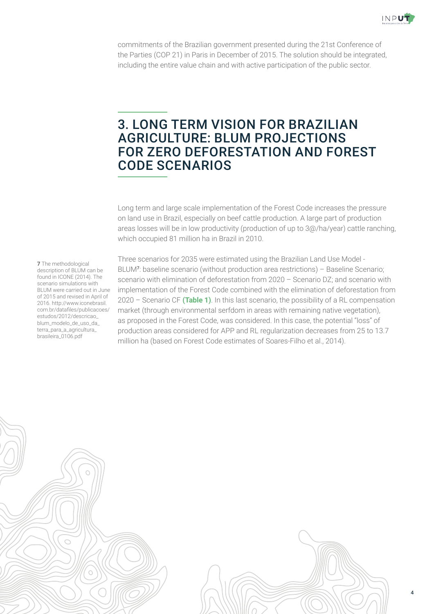

commitments of the Brazilian government presented during the 21st Conference of the Parties (COP 21) in Paris in December of 2015. The solution should be integrated, including the entire value chain and with active participation of the public sector.

#### 3. LONG TERM VISION FOR BRAZILIAN AGRICULTURE: BLUM PROJECTIONS FOR ZERO DEFORESTATION AND FOREST CODE SCENARIOS

Long term and large scale implementation of the Forest Code increases the pressure on land use in Brazil, especially on beef cattle production. A large part of production areas losses will be in low productivity (production of up to 3@/ha/year) cattle ranching, which occupied 81 million ha in Brazil in 2010.

**7** The methodological description of BLUM can be found in ICONE (2014). The scenario simulations with BLUM were carried out in June of 2015 and revised in April of 2016. http://www.iconebrasil. com.br/datafiles/publicacoes/ estudos/2012/descricao\_ blum\_modelo\_de\_uso\_da\_ terra\_para\_a\_agricultura\_ brasileira\_0106.pdf

Three scenarios for 2035 were estimated using the Brazilian Land Use Model - BLUM**<sup>7</sup>**: baseline scenario (without production area restrictions) – Baseline Scenario; scenario with elimination of deforestation from 2020 – Scenario DZ; and scenario with implementation of the Forest Code combined with the elimination of deforestation from 2020 – Scenario CF **(Table 1)**. In this last scenario, the possibility of a RL compensation market (through environmental serfdom in areas with remaining native vegetation), as proposed in the Forest Code, was considered. In this case, the potential "loss" of production areas considered for APP and RL regularization decreases from 25 to 13.7 million ha (based on Forest Code estimates of Soares-Filho et al., 2014).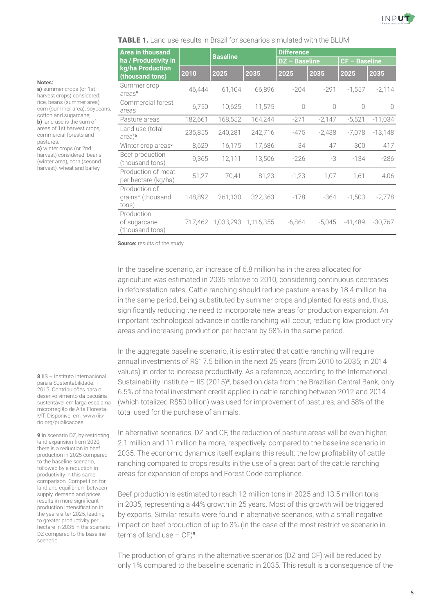

**TABLE 1.** Land use results in Brazil for scenarios simulated with the BLUM

| <b>Area in thousand</b><br>ha / Productivity in<br>kg/ha Production<br>(thousand tons) |         | <b>Baseline</b>   |           | <b>Difference</b>    |           |                      |           |
|----------------------------------------------------------------------------------------|---------|-------------------|-----------|----------------------|-----------|----------------------|-----------|
|                                                                                        |         |                   |           | <b>DZ</b> - Baseline |           | <b>CF - Baseline</b> |           |
|                                                                                        | 2010    | 2025              | 2035      | 2025                 | 2035      | 2025                 | 2035      |
| Summer crop<br>areas <sup>a</sup>                                                      | 46,444  | 61,104            | 66,896    | $-204$               | $-291$    | $-1,557$             | $-2,114$  |
| Commercial forest<br>areas                                                             | 6,750   | 10,625            | 11,575    | $\bigcirc$           | $\bigcap$ | $\bigcirc$           | $\bigcap$ |
| Pasture areas                                                                          | 182,661 | 168,552           | 164,244   | $-271$               | $-2,147$  | $-5,521$             | $-11,034$ |
| Land use (total<br>area) <sup>b</sup>                                                  | 235,855 | 240,281           | 242,716   | $-475$               | $-2,438$  | $-7,078$             | $-13,148$ |
| Winter crop areas <sup>e</sup>                                                         | 8,629   | 16,175            | 17,686    | 34                   | 47        | 300                  | 417       |
| Beef production<br>(thousand tons)                                                     | 9,365   | 12,111            | 13,506    | $-226$               | -3        | $-134$               | $-286$    |
| Production of meat<br>per hectare (kg/ha)                                              | 51,27   | 70,41             | 81,23     | $-1,23$              | 1,07      | 1,61                 | 4,06      |
| Production of<br>grains* (thousand<br>tons)                                            | 148,892 | 261,130           | 322,363   | $-178$               | -364      | $-1,503$             | $-2,778$  |
| Production<br>of sugarcane<br>(thousand tons)                                          |         | 717,462 1,033,293 | 1,116,355 | $-6,864$             | $-5,045$  | $-41,489$            | $-30,767$ |

**Source:** results of the study

In the baseline scenario, an increase of 6.8 million ha in the area allocated for agriculture was estimated in 2035 relative to 2010, considering continuous decreases in deforestation rates. Cattle ranching should reduce pasture areas by 18.4 million ha in the same period, being substituted by summer crops and planted forests and, thus, significantly reducing the need to incorporate new areas for production expansion. An important technological advance in cattle ranching will occur, reducing low productivity areas and increasing production per hectare by 58% in the same period.

In the aggregate baseline scenario, it is estimated that cattle ranching will require annual investments of R\$17.5 billion in the next 25 years (from 2010 to 2035; in 2014 values) in order to increase productivity. As a reference, according to the International Sustainability Institute – IIS (2015)**<sup>8</sup>**, based on data from the Brazilian Central Bank, only 6.5% of the total investment credit applied in cattle ranching between 2012 and 2014 (which totalized R\$50 billion) was used for improvement of pastures, and 58% of the total used for the purchase of animals.

In alternative scenarios, DZ and CF, the reduction of pasture areas will be even higher, 2.1 million and 11 million ha more, respectively, compared to the baseline scenario in 2035. The economic dynamics itself explains this result: the low profitability of cattle ranching compared to crops results in the use of a great part of the cattle ranching areas for expansion of crops and Forest Code compliance.

Beef production is estimated to reach 12 million tons in 2025 and 13.5 million tons in 2035, representing a 44% growth in 25 years. Most of this growth will be triggered by exports. Similar results were found in alternative scenarios, with a small negative impact on beef production of up to 3% (in the case of the most restrictive scenario in terms of land use – CF)**<sup>9</sup>**.

The production of grains in the alternative scenarios (DZ and CF) will be reduced by only 1% compared to the baseline scenario in 2035. This result is a consequence of the

**Notes:**

**a)** summer crops (or 1st harvest crops) considered: rice, beans (summer area), corn (summer area), soybeans, cotton and sugarcane; **b)** land use is the sum of areas of 1st harvest crops, commercial forests and pastures.

**c)** winter crops (or 2nd harvest) considered: beans (winter area), corn (second harvest), wheat and barley.

**8** IIS – Instituto Internacional para a Sustentabilidade. 2015. Contribuições para o desenvolvimento da pecuária sustentável em larga escala na microrregião de Alta Floresta-MT. Disponível em: www/iisrio.org/publicacoes

**9** In scenario DZ, by restricting land expansion from 2020, there is a reduction in beef production in 2025 compared to the baseline scenario, followed by a reduction in productivity in this same comparison. Competition for land and equilibrium between supply, demand and prices results in more significant production intensification in the years after 2025, leading to greater productivity per hectare in 2035 in the scenario DZ compared to the baseline scenario.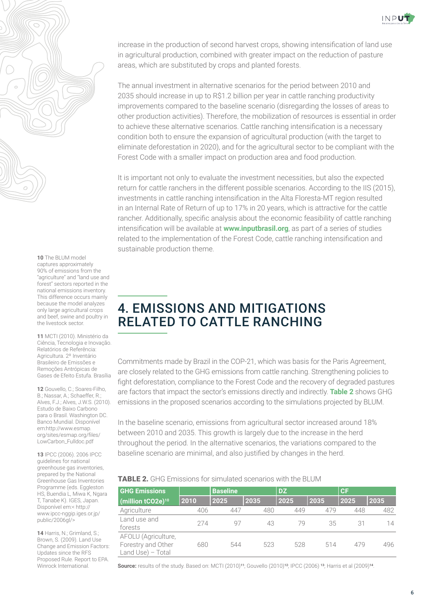



#### **10** The BLUM model captures approximately

90% of emissions from the "agriculture" and "land use and forest" sectors reported in the national emissions inventory. This difference occurs mainly because the model analyzes only large agricultural crops and beef, swine and poultry in the livestock sector.

**11** MCTI (2010). Ministério da Ciência, Tecnologia e Inovação. Relatórios de Referência: Agricultura. 2º Inventário Brasileiro de Emissões e Remoções Antrópicas de Gases de Efeito Estufa. Brasília

**12** Gouvello, C.; Soares-Filho, B.; Nassar, A.; Schaeffer, R.; Alves, F.J.; Alves, J.W.S. (2010). Estudo de Baixo Carbono para o Brasil. Washington DC. Banco Mundial. Disponível em:http://www.esmap. org/sites/esmap.org/files/ LowCarbon\_Fulldoc.pdf

**13** IPCC (2006). 2006 IPCC guidelines for national greenhouse gas inventories, prepared by the National Greenhouse Gas Inventories Programme (eds. Eggleston HS, Buendia L, Miwa K, Ngara T, Tanabe K). IGES, Japan. Disponível em:< http:// www.ipcc-nggip.iges.or.jp/ public/2006gl/>

**14** Harris, N.; Grimland, S.; Brown, S. (2009). Land Use Change and Emission Factors: Updates since the RFS Proposed Rule. Report to EPA. Winrock International.

increase in the production of second harvest crops, showing intensification of land use in agricultural production, combined with greater impact on the reduction of pasture areas, which are substituted by crops and planted forests.

The annual investment in alternative scenarios for the period between 2010 and 2035 should increase in up to R\$1.2 billion per year in cattle ranching productivity improvements compared to the baseline scenario (disregarding the losses of areas to other production activities). Therefore, the mobilization of resources is essential in order to achieve these alternative scenarios. Cattle ranching intensification is a necessary condition both to ensure the expansion of agricultural production (with the target to eliminate deforestation in 2020), and for the agricultural sector to be compliant with the Forest Code with a smaller impact on production area and food production.

It is important not only to evaluate the investment necessities, but also the expected return for cattle ranchers in the different possible scenarios. According to the IIS (2015), investments in cattle ranching intensification in the Alta Floresta-MT region resulted in an Internal Rate of Return of up to 17% in 20 years, which is attractive for the cattle rancher. Additionally, specific analysis about the economic feasibility of cattle ranching intensification will be available at **www.inputbrasil.org**, as part of a series of studies related to the implementation of the Forest Code, cattle ranching intensification and sustainable production theme.

## 4. EMISSIONS AND MITIGATIONS RELATED TO CATTLE RANCHING

Commitments made by Brazil in the COP-21, which was basis for the Paris Agreement, are closely related to the GHG emissions from cattle ranching. Strengthening policies to fight deforestation, compliance to the Forest Code and the recovery of degraded pastures are factors that impact the sector's emissions directly and indirectly. **Table 2** shows GHG emissions in the proposed scenarios according to the simulations projected by BLUM.

In the baseline scenario, emissions from agricultural sector increased around 18% between 2010 and 2035. This growth is largely due to the increase in the herd throughout the period. In the alternative scenarios, the variations compared to the baseline scenario are minimal, and also justified by changes in the herd.

#### TABLE 2. GHG Emissions for simulated scenarios with the BLUM

| <b>GHG Emissions</b>                                           |      | <b>Baseline</b> |      | <b>DZ</b> |      | l CF |      |
|----------------------------------------------------------------|------|-----------------|------|-----------|------|------|------|
| (million tCO2e) <sup>10</sup>                                  | 2010 | 2025            | 2035 | 2025      | 2035 | 2025 | 2035 |
| Agriculture                                                    | 406  | 447             | 480  | 449       | 479  | 448  | 482  |
| Land use and<br>forests                                        | 274  | 97              | 43   | 79        | 35   | 31   | 14   |
| AFOLU (Agriculture,<br>Forestry and Other<br>Land Use) - Total | 680  | 544             | 523  | 528       | 514  | 479  | 496  |

**Source:** results of the study. Based on: MCTI (2010)**<sup>11</sup>**; Gouvello (2010)**<sup>12</sup>**; IPCC (2006) **<sup>13</sup>**; Harris et al (2009)**<sup>14</sup>**.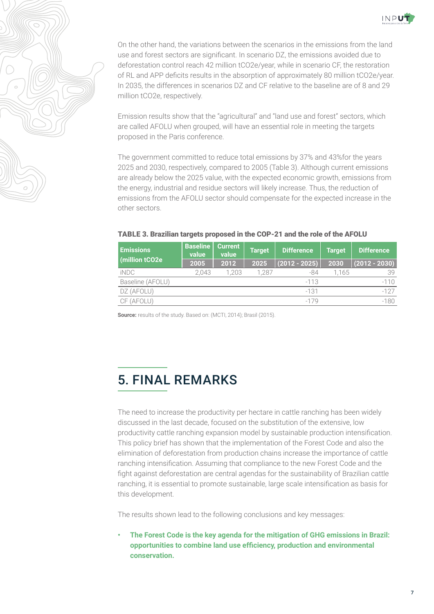

On the other hand, the variations between the scenarios in the emissions from the land use and forest sectors are significant. In scenario DZ, the emissions avoided due to deforestation control reach 42 million tCO2e/year, while in scenario CF, the restoration of RL and APP deficits results in the absorption of approximately 80 million tCO2e/year. In 2035, the differences in scenarios DZ and CF relative to the baseline are of 8 and 29 million tCO2e, respectively.

Emission results show that the "agricultural" and "land use and forest" sectors, which are called AFOLU when grouped, will have an essential role in meeting the targets proposed in the Paris conference.

The government committed to reduce total emissions by 37% and 43%for the years 2025 and 2030, respectively, compared to 2005 (Table 3). Although current emissions are already below the 2025 value, with the expected economic growth, emissions from the energy, industrial and residue sectors will likely increase. Thus, the reduction of emissions from the AFOLU sector should compensate for the expected increase in the other sectors.

| <b>Emissions</b><br>(million tCO2e) | <b>Baseline</b><br>value | Current<br>value | <b>Target</b> | <b>Difference</b> | <b>Target</b> | <b>Difference</b> |  |
|-------------------------------------|--------------------------|------------------|---------------|-------------------|---------------|-------------------|--|
|                                     | 2005                     | 2012             | 2025          | $(2012 - 2025)$   | 2030          | $(2012 - 2030)$   |  |
| iNDC                                | 2.043                    | 1.203            | 1.287         | -84               | 1.165         | 39                |  |
| Baseline (AFOLU)                    |                          |                  |               | $-113$            |               | $-110$            |  |
| DZ (AFOLU)                          |                          |                  |               | $-131$            |               | $-127$            |  |
| CF (AFOLU)                          |                          |                  |               | $-179$            |               | $-180$            |  |

#### TABLE 3. Brazilian targets proposed in the COP-21 and the role of the AFOLU

**Source:** results of the study. Based on: (MCTI, 2014); Brasil (2015).

# 5. FINAL REMARKS

The need to increase the productivity per hectare in cattle ranching has been widely discussed in the last decade, focused on the substitution of the extensive, low productivity cattle ranching expansion model by sustainable production intensification. This policy brief has shown that the implementation of the Forest Code and also the elimination of deforestation from production chains increase the importance of cattle ranching intensification. Assuming that compliance to the new Forest Code and the fight against deforestation are central agendas for the sustainability of Brazilian cattle ranching, it is essential to promote sustainable, large scale intensification as basis for this development.

The results shown lead to the following conclusions and key messages:

**• The Forest Code is the key agenda for the mitigation of GHG emissions in Brazil: opportunities to combine land use efficiency, production and environmental conservation.**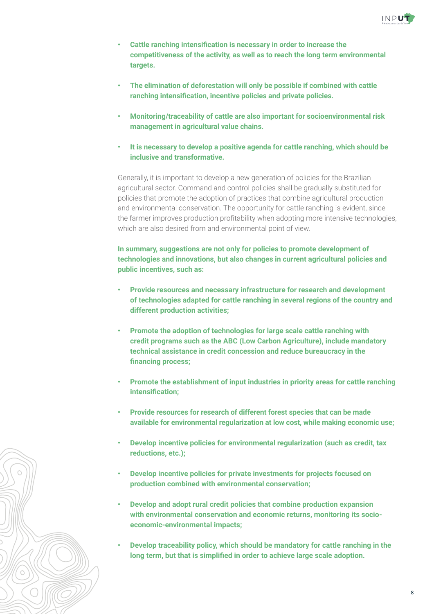

- **Cattle ranching intensification is necessary in order to increase the competitiveness of the activity, as well as to reach the long term environmental targets.**
- **The elimination of deforestation will only be possible if combined with cattle ranching intensification, incentive policies and private policies.**
- **Monitoring/traceability of cattle are also important for socioenvironmental risk management in agricultural value chains.**
- **It is necessary to develop a positive agenda for cattle ranching, which should be inclusive and transformative.**

Generally, it is important to develop a new generation of policies for the Brazilian agricultural sector. Command and control policies shall be gradually substituted for policies that promote the adoption of practices that combine agricultural production and environmental conservation. The opportunity for cattle ranching is evident, since the farmer improves production profitability when adopting more intensive technologies, which are also desired from and environmental point of view.

**In summary, suggestions are not only for policies to promote development of technologies and innovations, but also changes in current agricultural policies and public incentives, such as:**

- **Provide resources and necessary infrastructure for research and development of technologies adapted for cattle ranching in several regions of the country and different production activities;**
- **Promote the adoption of technologies for large scale cattle ranching with credit programs such as the ABC (Low Carbon Agriculture), include mandatory technical assistance in credit concession and reduce bureaucracy in the**  financing process;
- **Promote the establishment of input industries in priority areas for cattle ranching**  intensification;
- **Provide resources for research of different forest species that can be made available for environmental regularization at low cost, while making economic use;**
- **Develop incentive policies for environmental regularization (such as credit, tax reductions, etc.);**
- **Develop incentive policies for private investments for projects focused on production combined with environmental conservation;**
- **Develop and adopt rural credit policies that combine production expansion with environmental conservation and economic returns, monitoring its socioeconomic-environmental impacts;**
- **Develop traceability policy, which should be mandatory for cattle ranching in the long term, but that is simplified in order to achieve large scale adoption.**